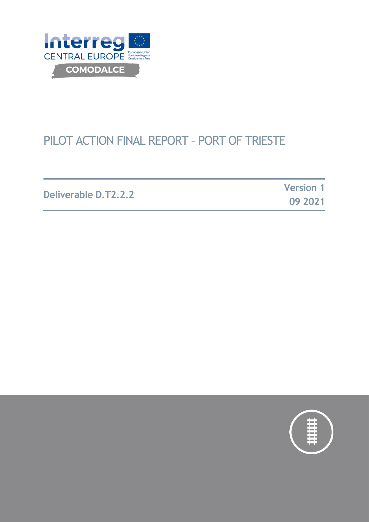

# PILOT ACTION FINAL REPORT – PORT OF TRIESTE

**Deliverable D.T2.2.2**

**Version 1 09 2021**

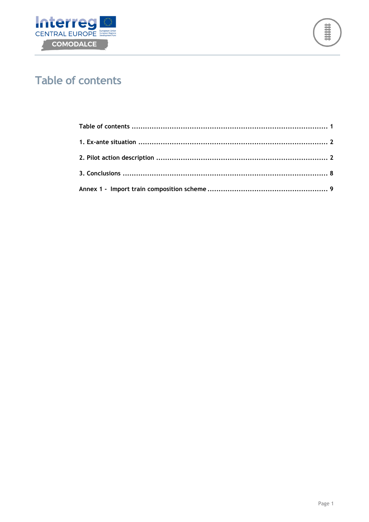



## <span id="page-1-0"></span>**Table of contents**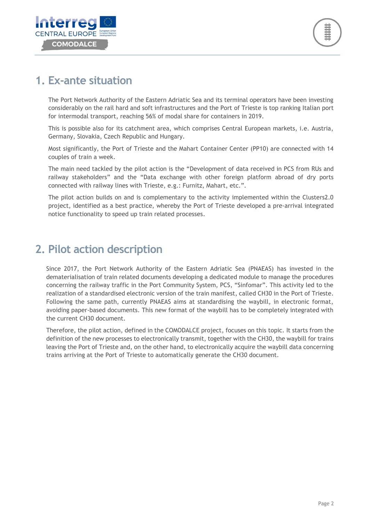

### <span id="page-2-0"></span>**1. Ex-ante situation**

The Port Network Authority of the Eastern Adriatic Sea and its terminal operators have been investing considerably on the rail hard and soft infrastructures and the Port of Trieste is top ranking Italian port for intermodal transport, reaching 56% of modal share for containers in 2019.

This is possible also for its catchment area, which comprises Central European markets, i.e. Austria, Germany, Slovakia, Czech Republic and Hungary.

Most significantly, the Port of Trieste and the Mahart Container Center (PP10) are connected with 14 couples of train a week.

The main need tackled by the pilot action is the "Development of data received in PCS from RUs and railway stakeholders" and the "Data exchange with other foreign platform abroad of dry ports connected with railway lines with Trieste, e.g.: Furnitz, Mahart, etc.".

The pilot action builds on and is complementary to the activity implemented within the Clusters2.0 project, identified as a best practice, whereby the Port of Trieste developed a pre-arrival integrated notice functionality to speed up train related processes.

### <span id="page-2-1"></span>**2. Pilot action description**

Since 2017, the Port Network Authority of the Eastern Adriatic Sea (PNAEAS) has invested in the dematerialisation of train related documents developing a dedicated module to manage the procedures concerning the railway traffic in the Port Community System, PCS, "Sinfomar". This activity led to the realization of a standardised electronic version of the train manifest, called CH30 in the Port of Trieste. Following the same path, currently PNAEAS aims at standardising the waybill, in electronic format, avoiding paper-based documents. This new format of the waybill has to be completely integrated with the current CH30 document.

Therefore, the pilot action, defined in the COMODALCE project, focuses on this topic. It starts from the definition of the new processes to electronically transmit, together with the CH30, the waybill for trains leaving the Port of Trieste and, on the other hand, to electronically acquire the waybill data concerning trains arriving at the Port of Trieste to automatically generate the CH30 document.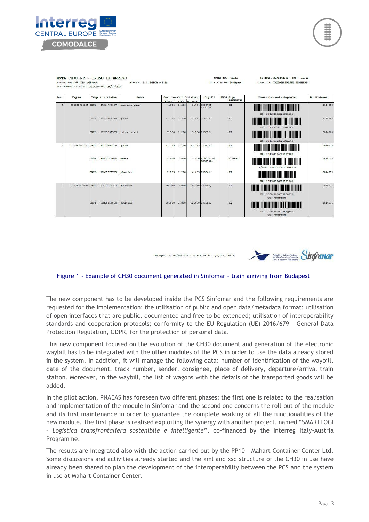



MMTA CH30 PF - TRENO IN ARRIVO spedizione: BUD.TRS 20NS106<br>allibramento Sinfonar 2414238 del 29/03/2020 agante: T.O. DELTA S.P.A.

| Dos.         | Vagone | Targa n. container              | Marce           |        |       | Semirimorchio/Container | S1g1111                   | <b>UNDC</b> | Tipo<br>documento | Numero documento doganale              | Nr. Sinfonar |
|--------------|--------|---------------------------------|-----------------|--------|-------|-------------------------|---------------------------|-------------|-------------------|----------------------------------------|--------------|
|              |        |                                 |                 | Massa  | Tara  | M. lorda                |                           |             |                   |                                        |              |
| $\mathbf{I}$ |        | 335645762501 CNTR : CAIU4799047 | sanitary pads   | 4.934  | 3,800 |                         | B.734 HOOB761,<br>W729181 |             | EX.               | EX: 20HU811020270E1511                 | 2414260      |
|              |        | CMTR : EISU3966750              | goods           | 21.113 | 2,200 |                         | 23.313 7152737.           |             | <b>EX</b>         | EX: 20HU611040270FE2F4                 | 2414254      |
|              |        | CNTR : FCIU5991509              | tetra recart    | 7.356  | 2,200 |                         | 9.556 006932.             |             | EX.               | EX: 20HU101220270EA648                 | 2414244      |
| 2            |        | 335645762725 CMTR : EITU3001160 | goods           | 21.113 | 2.200 |                         | 23.313 7152739,           |             | <b>EX</b>         | EX: 20HU61104027107A07                 | 2414250      |
|              |        | CNTR : MEDU7155964              | parts           | 4,080  | 3.800 |                         | 7.880 KLW237809,          |             | T1/MRN            | T1/MRN: 20HU317000170EA076             | 2414253      |
|              |        | CNTR : FTAU1171775              | plastics        | 2.259  | 2.200 |                         | 4.459 000041,             |             | <b>EX</b>         | EX: 20HU82106027101765                 | 2414263      |
| ಾ            |        | 378049758444 CWTR : MSCU7710335 | <b>MOODPULP</b> | 26.540 | 3.800 |                         | 30.340 036765.            |             | EX.               | EX: 20CZ6100002FL20II0<br>NON CHIUDERE | 2414251      |
|              |        | CNTR : TEMU6556630              | WOODDUILD       | 28.600 | 3.800 |                         | 32.400 036751.            |             | <b>EX</b>         | EX: 20CZ6100002BK60806<br>NON CHIUDERE | 2414256      |

trano nr.: 42181

in arrivo da: Budabest

Stampato 11 01/04/2020 alle ore  $15:31$  - pagina 1 di 5



di data: 30/03/2020 ora: 18:00

diretto a: TRIESTE MARINE TERMINAL

#### Figure 1 - Example of CH30 document generated in Sinfomar – train arriving from Budapest

The new component has to be developed inside the PCS Sinfomar and the following requirements are requested for the implementation: the utilisation of public and open data/metadata format; utilisation of open interfaces that are public, documented and free to be extended; utilisation of interoperability standards and cooperation protocols; conformity to the EU Regulation (UE) 2016/679 – General Data Protection Regulation, GDPR, for the protection of personal data.

This new component focused on the evolution of the CH30 document and generation of the electronic waybill has to be integrated with the other modules of the PCS in order to use the data already stored in the system. In addition, it will manage the following data: number of identification of the waybill, date of the document, track number, sender, consignee, place of delivery, departure/arrival train station. Moreover, in the waybill, the list of wagons with the details of the transported goods will be added.

In the pilot action, PNAEAS has foreseen two different phases: the first one is related to the realisation and implementation of the module in Sinfomar and the second one concerns the roll-out of the module and its first maintenance in order to guarantee the complete working of all the functionalities of the new module. The first phase is realised exploiting the synergy with another project, named "SMARTLOGI – *Logistica transfrontaliera sostenibile e intelligente*", co-financed by the Interreg Italy-Austria Programme.

The results are integrated also with the action carried out by the PP10 - Mahart Container Center Ltd. Some discussions and activities already started and the xml and xsd structure of the CH30 in use have already been shared to plan the development of the interoperability between the PCS and the system in use at Mahart Container Center.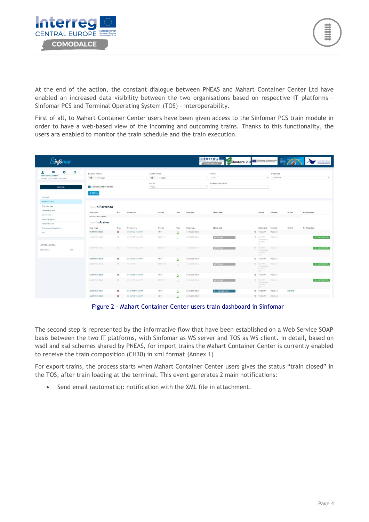

At the end of the action, the constant dialogue between PNEAS and Mahart Container Center Ltd have enabled an increased data visibility between the two organisations based on respective IT platforms – Sinfomar PCS and Terminal Operating System (TOS) – interoperability.

First of all, to Mahart Container Center users have been given access to the Sinfomar PCS train module in order to have a web-based view of the incoming and outcoming trains. Thanks to this functionality, the users ara enabled to monitor the train schedule and the train execution.

| Sinfornar                               |                         |          |                        |                 |                         |                  | Interreg<br>CENTRAL EUROPE<br>Clusters 2.0 | Co-financed by the European Union                     |           |           | Antonia di Balance Portuale<br>Michiel Adriatico Directato<br>Portual Tracia e Montecene |
|-----------------------------------------|-------------------------|----------|------------------------|-----------------|-------------------------|------------------|--------------------------------------------|-------------------------------------------------------|-----------|-----------|------------------------------------------------------------------------------------------|
| G<br>٠<br>χ<br><b>GABOR SPELLENBERG</b> | DA DATA VARCO           |          |                        | A DATA VARCO    |                         |                  | <b>STATO</b>                               |                                                       | DIREZIONE |           |                                                                                          |
| MAHART CONTAINER CENTER KFT             | ■ 01/11/2021            |          |                        | ■ 11/11/2021    |                         |                  | Tutti                                      | $\sim$                                                | Entrambe  |           |                                                                                          |
| SEZIONI -                               | AGGIORNAMENTO 2M 345    |          |                        | FILTRO<br>Tutto |                         |                  | NUMERO SINFOMAR<br>$\alpha$ .              |                                                       |           |           |                                                                                          |
| Riepilogo                               | Q CERCA                 |          |                        |                 |                         |                  |                                            |                                                       |           |           |                                                                                          |
| Gestione trani                          |                         |          |                        |                 |                         |                  |                                            |                                                       |           |           |                                                                                          |
| Riepilogo stati                         | <b>TrendIn Partenza</b> |          |                        |                 |                         |                  |                                            |                                                       |           |           |                                                                                          |
| Gestione shuttle                        | Data varco              | Naz.     | Nome conv.             | Traopia         | Tipo                    | Data prog.       | Ultimo stato                               | Agente                                                | Terminal  | Nr. Sinf. | Modifica stato                                                                           |
| Elenco treni                            | Nessun freno rilevato   |          |                        |                 |                         |                  |                                            |                                                       |           |           |                                                                                          |
| Gestione vagoni                         |                         |          |                        |                 |                         |                  |                                            |                                                       |           |           |                                                                                          |
| Gestione tracce                         | Tren/In Arrivo          |          |                        |                 |                         |                  |                                            |                                                       |           |           |                                                                                          |
| Ricerche arrivi/partenze                | Data varco              | Naz.     | Nome conv.             | Traocia         | Tipo                    | Data prog.       | Ultimo stato                               | Dichiarante                                           | Terminal  | Nr. Sinf. | Modifica stato                                                                           |
| Esci:                                   | 01/11/2021 05:50        | $=$      | <b>BUDAPEST MAHART</b> | 41171           | Q                       | 01/11/2021 05:35 |                                            | <b>D</b> TO DELTA                                     | MOLO VII. |           |                                                                                          |
| Attività operative                      | 01/11/2021 10:29        | $\equiv$ | BUDAPEST MANART        | 550041171       | b                       | 30/10/2021 22:29 | <b>SOPPRESSO</b>                           | <b>3 MAHART</b><br>CONTAINER<br>CENTER<br>ICET-       | MOLD VIL  |           | <b>D - DEFINITIVO</b>                                                                    |
| 101<br>Utenti online                    | 01/11/2021 15:17        | œ        | BUDAPEST MANART        | 550041171       |                         | 31/10/2021 15:17 | SOPPILESSO                                 | TRAHANT<br>CONTAINER<br>CENTER<br>ICFT:               | MOLD VII  |           | <b>D - DEFINITIVO</b>                                                                    |
|                                         | 02/11/2021 05:50        | ۰        | <b>BUDAPEST MAHART</b> | 41171           | 臭                       | 02/11/2021 05:35 |                                            | <b>D</b> TO DELTA                                     | MOLO VII  |           |                                                                                          |
|                                         | 02/11/2021 19:12        | $=$      | BUDAPEST               | 500041172       |                         | 01/11/2021 19:12 | SOPPILESSO                                 | <b>D</b> MAHART<br>CONTAINER<br>CENTER<br><b>IGFT</b> | MOLO VII  |           | 0 - DEFINITIVO                                                                           |
|                                         | 03/11/2021 05:50        | ۰        | <b>BUDAPEST MAHART</b> | 41171           | $\overline{\mathbf{Q}}$ | 03/11/2021 05:35 |                                            | <b>D</b> TO DELTA                                     | MOLO VII  |           |                                                                                          |
|                                         | 03/11/2021 00:22        | $\equiv$ | BUCAPEST MANAGER       | 550041171       | Ð                       | 02/10021-0022    | SOPPRESSO                                  | S. MAHART<br>CONTAINER<br><b>CENTER</b><br>IET.       | MOLD VII  |           | <b>D - DEFINITIVO</b>                                                                    |
|                                         | 03/11/2021 16:41        | =        | <b>BUDAPEST MAHART</b> | 41171           | 臭                       | 03/11/2021 05:35 | <b>R - RISCONTRATO</b>                     | <b>D</b> TO DELTA                                     | MOLO VII. | 3594710   |                                                                                          |
|                                         | 04/11/2021 05:50        | $\equiv$ | <b>BUDAPEST MAHART</b> | 41171           | $\Box$                  | 04/11/2021 05:35 |                                            | 9 TO DELTA                                            | MOLD VII  |           |                                                                                          |

Figure 2 - Mahart Container Center users train dashboard in Sinfomar

The second step is represented by the informative flow that have been established on a Web Service SOAP basis between the two IT platforms, with Sinfomar as WS server and TOS as WS client. In detail, based on wsdl and xsd schemes shared by PNEAS, for import trains the Mahart Container Center is currently enabled to receive the train composition (CH30) in xml format (Annex 1)

For export trains, the process starts when Mahart Container Center users gives the status "train closed" in the TOS, after train loading at the terminal. This event generates 2 main notifications:

• Send email (automatic): notification with the XML file in attachment.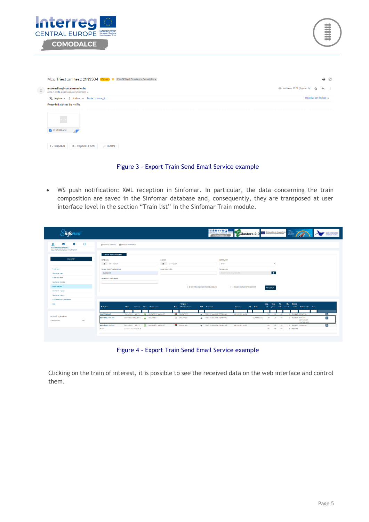



|   | Mcc-Triest xml test: 21NS304 (Esterni) D IE AdSP MAO Smartlogi e Comodalce x                                         |                                      |  | <b>BC</b> |  |  |  |  |  |  |
|---|----------------------------------------------------------------------------------------------------------------------|--------------------------------------|--|-----------|--|--|--|--|--|--|
| 츠 | mccemailsrv@containercenter.hu<br>a me, f.csala, gabor.csala.development =                                           | © lun 8 nov, 23:08 (3 giorni fa) ☆ ← |  |           |  |  |  |  |  |  |
|   | Disattiva per: inglese $\times$<br>$\overline{X}_A$ inglese $\rightarrow$ > italiano $\rightarrow$ Traduci messaggio |                                      |  |           |  |  |  |  |  |  |
|   | Please find attached the xml file                                                                                    |                                      |  |           |  |  |  |  |  |  |
|   | < <br>$21N$ S304.xml<br>« Rispondi a tutti<br>$\leftarrow$ Rispondi<br>$\rightarrow$ Inoltra                         |                                      |  |           |  |  |  |  |  |  |

#### Figure 3 - Export Train Send Email Service example

• WS push notification: XML reception in Sinfomar. In particular, the data concerning the train composition are saved in the Sinfomar database and, consequently, they are transposed at user interface level in the section "Train list" in the Sinfomar Train module.

| S <b>info</b> mar                                                                                                       |                                                                              |                                    |                                                    | <b>INTERTES</b><br>Clusters 2.0<br>COMODALCE |                           | Co-financed by the European Union<br>Tors European Tengert Network (TENT) | TTS<br>Adriatic<br>Multiport                                            | Autoria di Solema Portuale<br>del libro Adriatoro Orientale<br>Porti di Traste e Monfalcone |
|-------------------------------------------------------------------------------------------------------------------------|------------------------------------------------------------------------------|------------------------------------|----------------------------------------------------|----------------------------------------------|---------------------------|---------------------------------------------------------------------------|-------------------------------------------------------------------------|---------------------------------------------------------------------------------------------|
| Ö.<br>e<br>$\Join$<br><b>BINUOVO ARRIVO BINUOVO PARTENZA</b><br><b>GABOR SPELLENBERG</b><br>MAHART CONTAINER CENTER KFT |                                                                              |                                    |                                                    |                                              |                           |                                                                           |                                                                         |                                                                                             |
| Elenco treni dichiarati<br>SEZIONI -<br><b>DA DATA</b><br>■ 08/11/2021                                                  |                                                                              | A DATA<br>■ 12/11/2021             |                                                    | <b>ARR/PART</b><br>arrivo                    |                           | $\sim$                                                                    |                                                                         |                                                                                             |
| Riepilogo<br>NOME CONVENZIONALE<br>budapest<br>Gestione treni                                                           |                                                                              | <b>NUM, PRATICA</b>                |                                                    | <b>TERMINAL</b><br>double click or press F2  |                           | $\blacksquare$                                                            |                                                                         |                                                                                             |
| Riepilogo stati<br><b>NUMERO SINFOMAR</b><br>Gestione shuttle                                                           |                                                                              |                                    |                                                    |                                              |                           |                                                                           |                                                                         |                                                                                             |
| Elenco treni<br>Gestione vagoni                                                                                         |                                                                              |                                    | MOSTRA ANCHE PROGRAMMATI                           | AGGIORNAMENTO 30M 00S                        |                           | <b>Q</b> CERCA                                                            |                                                                         |                                                                                             |
| Gestione tracce<br>Ricerche arrivi/partenze<br>Esci                                                                     |                                                                              | Origine /                          |                                                    |                                              |                           | Vag.<br>Vag                                                               | Massa<br>Nr.                                                            |                                                                                             |
| <b>N.Pratica</b>                                                                                                        | Data<br>Traccia Tipo Nome conv.                                              | Naz. Destinazione                  | <b>AP</b> Terminal                                 | Varco                                        | <b>IG</b><br><b>State</b> |                                                                           | Dichiarante Corr.<br>netta<br>mezzi                                     |                                                                                             |
| <b>21NS304 BWT</b><br>Attività operative<br><b>BUD.TRS 21NS304</b><br>100<br>Utenti online                              | 10/11/2021 41171 <b>C</b> BUDAPEST MAHART<br>08/11/2021 550041173 @ BUDAPEST | <b>BUDAPEST</b><br><b>BUDAPEST</b> | TRIESTE MARINE TERMINAL<br>TRIESTE MARINE TERMINAL | 10/11/2021 18:04                             | SOPPRESSO                 | 20 20 45<br>20<br>20                                                      | 0 710,945 TO DELTA<br>0 422.694 MAHART<br>50<br>CONTAINER<br>CENTER VET | $\bullet$<br>$\bullet$                                                                      |
| <b>BUD.TRS 21NS203</b><br>Totali                                                                                        | <b>EUDAPEST MAHART</b><br>08/11/2021 41171<br>numero movimenti: 3            | <b>BUDAPEST</b>                    | TRIESTE MARINE TERMINAL                            | 08/11/2021 20:02                             |                           | 20<br>20<br>60 60 150                                                     | 55<br>0 630,857 TO DELTA<br>0 1,764,496                                 | ø                                                                                           |

Figure 4 - Export Train Send Email Service example

Clicking on the train of interest, it is possible to see the received data on the web interface and control them.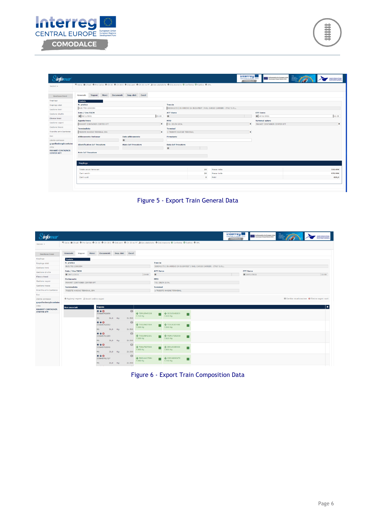

| _<br>⇁<br>–<br>-- |
|-------------------|
|-------------------|

| <b>infom</b> ar          |                                                                                                                                                    |                                 |              |                                              |         |                                                                       | Interregi<br><b>CENTRAL EUROPE TEST</b><br>COMODALCE | Co-financed by the European Union<br>Transformers Transport Network (TENT) | Administr | Autorità di Sistema Portugia<br>del Mara Adriatico Orientale<br>Porti di Trante e Monfalcone |
|--------------------------|----------------------------------------------------------------------------------------------------------------------------------------------------|---------------------------------|--------------|----------------------------------------------|---------|-----------------------------------------------------------------------|------------------------------------------------------|----------------------------------------------------------------------------|-----------|----------------------------------------------------------------------------------------------|
| Sezioni -                | <sup>M</sup> Salva 自 Chiudi 층 Pre Carico 층 Ch-30 층 Ch-30 E 층 Dist.carri 층 Ch-30 no PF 로 Gen.statistiche 층 Dist.manovra © Conferma © Riattiva 층 XML |                                 |              |                                              |         |                                                                       |                                                      |                                                                            |           |                                                                                              |
| Gestione treni           | Generale<br>Vagoni                                                                                                                                 | Merci Documenti Imp. dati Excel |              |                                              |         |                                                                       |                                                      |                                                                            |           |                                                                                              |
| Riepilogo                | <b>Testata</b>                                                                                                                                     |                                 |              |                                              |         |                                                                       |                                                      |                                                                            |           |                                                                                              |
| Riepilogo stati          | N. pratica                                                                                                                                         |                                 |              | Traccia                                      |         |                                                                       |                                                      |                                                                            |           |                                                                                              |
| Gestione treni           | <b>BUD.TRS 21NS304</b>                                                                                                                             |                                 |              |                                              |         | SS0041173   IN ARRIVO DA BUDAPEST   RAIL CARGO CARRIER - ITALY S.R.L. |                                                      |                                                                            |           |                                                                                              |
| Gestione shuttle         | Data / Ora TSCM                                                                                                                                    |                                 |              | <b>ATT Varco</b>                             |         |                                                                       |                                                      | <b>ETT Varco</b>                                                           |           |                                                                                              |
| Elenco treni             | ■ 08/11/2021                                                                                                                                       |                                 | 23:08        | $\blacksquare$                               |         |                                                                       |                                                      | ■ 10/11/2021                                                               |           | 11:08                                                                                        |
| Gestione vagoni          | <b>Agente treno</b><br>MAHART CONTAINER CENTER KFT                                                                                                 |                                 | $\mathbf{x}$ | <b>MTO</b><br>T.O. DELTA S.P.A.              |         |                                                                       | $\mathbf{x}$                                         | <b>Terminal estero</b><br>MAHART CONTAINER CENTER KFT                      |           | $\pmb{\times}$                                                                               |
| Gestione tracce          |                                                                                                                                                    |                                 |              |                                              |         |                                                                       |                                                      |                                                                            |           |                                                                                              |
| Ricerche arrivi/partenze | Terminalista<br>TRIESTE MARINE TERMINAL SPA                                                                                                        |                                 | l x          | <b>Terminal</b><br>1 TRIESTE MARINE TERMINAL |         |                                                                       | $\mathbf{x}$                                         |                                                                            |           |                                                                                              |
|                          | <b>Allibramento Sinfomar</b>                                                                                                                       | Data allibramento               |              |                                              |         |                                                                       |                                                      |                                                                            |           |                                                                                              |
| Utente connesso          |                                                                                                                                                    | ш                               |              | Firmatario                                   |         |                                                                       |                                                      |                                                                            |           |                                                                                              |
| g.spellenberg@containe   | <b>Identificativo IoT Trovatore</b>                                                                                                                | <b>Stato IoT Trovatore</b>      |              | <b>Data IoT Trovatore</b>                    |         |                                                                       |                                                      |                                                                            |           |                                                                                              |
| Ditta                    |                                                                                                                                                    |                                 |              | $\equiv$                                     |         |                                                                       |                                                      |                                                                            |           |                                                                                              |
| <b>MAHART CONTAINER</b>  | <b>Note IoT Trovatore</b>                                                                                                                          |                                 |              |                                              |         |                                                                       |                                                      |                                                                            |           |                                                                                              |
| <b>CENTER KFT</b>        |                                                                                                                                                    |                                 |              |                                              |         |                                                                       |                                                      |                                                                            |           |                                                                                              |
|                          |                                                                                                                                                    |                                 |              |                                              |         |                                                                       |                                                      |                                                                            |           |                                                                                              |
|                          | Riepilogo                                                                                                                                          |                                 |              |                                              |         |                                                                       |                                                      |                                                                            |           |                                                                                              |
|                          | Totale veicoli ferroviari                                                                                                                          |                                 |              |                                              | 20      | Massa netta                                                           |                                                      |                                                                            |           | 500,494                                                                                      |
|                          | Carri carichi                                                                                                                                      |                                 |              |                                              | 20      | Massa lorda                                                           |                                                      |                                                                            |           | 970.994                                                                                      |
|                          | Carri vuoti                                                                                                                                        |                                 |              |                                              | $\circ$ | Metri                                                                 |                                                      |                                                                            |           | 420,0                                                                                        |
|                          |                                                                                                                                                    |                                 |              |                                              |         |                                                                       |                                                      |                                                                            |           |                                                                                              |



| <i>infomar</i>                                                                                     |                                           |                             |       |                       |                     |                       |                           |                                 |                                                                                                                                         |     |  | <b>Interreg</b><br><b>CENTRAL EUROPE HEAT</b><br>COMODALCE |                  | Co-financed by the European Union<br>Tom Curocus Tompot Network (TENT) | Adriatic<br>Maltiport<br>Gateway | Autoria di Sistema Portuale<br>del Mara Adriatico Orientale<br>Porti di Trieste e Monfalcone |
|----------------------------------------------------------------------------------------------------|-------------------------------------------|-----------------------------|-------|-----------------------|---------------------|-----------------------|---------------------------|---------------------------------|-----------------------------------------------------------------------------------------------------------------------------------------|-----|--|------------------------------------------------------------|------------------|------------------------------------------------------------------------|----------------------------------|----------------------------------------------------------------------------------------------|
| Sezioni -                                                                                          |                                           |                             |       |                       |                     |                       |                           |                                 | K Salva 自 Chiudi 총 Pre Carico 총 Ch-30 총 Ch-30 E 총 Dist.carri 총 Ch-30 no PF 』 Gen.statistiche 총 Dist.manovra 명 Conferma © Riattiva 총 XML |     |  |                                                            |                  |                                                                        |                                  |                                                                                              |
| <b>Gestione</b> treni                                                                              | Generale                                  | Vagoni                      | Merci |                       | Documenti Imp. dati | Excel                 |                           |                                 |                                                                                                                                         |     |  |                                                            |                  |                                                                        |                                  |                                                                                              |
| Riepilogo                                                                                          | <b>Testata</b>                            |                             |       |                       |                     |                       |                           |                                 |                                                                                                                                         |     |  |                                                            |                  |                                                                        |                                  |                                                                                              |
| Riepilogo stati                                                                                    | N. pratica                                |                             |       |                       |                     |                       |                           | <b>Traccia</b>                  |                                                                                                                                         |     |  |                                                            |                  |                                                                        |                                  |                                                                                              |
| Gestione treni                                                                                     | <b>BUD.TRS 21NS304</b>                    |                             |       |                       |                     |                       |                           |                                 | 550041173   IN ARRIVO DA BUDAPEST   RAIL CARGO CARRIER - ITALY S.R.L.                                                                   |     |  |                                                            |                  |                                                                        |                                  |                                                                                              |
| Gestione shuttle                                                                                   | Data / Ora TSCM                           |                             |       |                       |                     |                       | 23:08                     | <b>ATT Varco</b>                |                                                                                                                                         |     |  |                                                            | <b>ETT Varco</b> | ■ 10/11/2021                                                           |                                  | 11:08                                                                                        |
| Elenco treni                                                                                       | ■ 08/11/2021                              |                             |       |                       |                     |                       |                           | 苗                               |                                                                                                                                         |     |  |                                                            |                  |                                                                        |                                  |                                                                                              |
| Gestione vagoni                                                                                    | <b>Dichiarante</b>                        | MAHART CONTAINER CENTER KFT |       |                       |                     |                       |                           | <b>MTO</b><br>T.O. DELTA S.P.A. |                                                                                                                                         |     |  |                                                            |                  |                                                                        |                                  |                                                                                              |
| Gestione tracce                                                                                    | <b>Terminalista</b>                       |                             |       |                       |                     |                       |                           | <b>Terminal</b>                 |                                                                                                                                         |     |  |                                                            |                  |                                                                        |                                  |                                                                                              |
| Ricerche arrivi/partenze                                                                           | TRIESTE MARINE TERMINAL SPA               |                             |       |                       |                     |                       |                           |                                 | 1 TRIESTE MARINE TERMINAL                                                                                                               |     |  |                                                            |                  |                                                                        |                                  |                                                                                              |
| Esci                                                                                               |                                           |                             |       |                       |                     |                       |                           |                                 |                                                                                                                                         |     |  |                                                            |                  |                                                                        |                                  |                                                                                              |
|                                                                                                    |                                           |                             |       |                       |                     |                       |                           |                                 |                                                                                                                                         |     |  |                                                            |                  |                                                                        |                                  |                                                                                              |
|                                                                                                    | O Aggiungi vagone C Inverti ordine vagoni |                             |       |                       |                     |                       |                           |                                 |                                                                                                                                         |     |  |                                                            |                  |                                                                        |                                  | Illi Cambia visualizzazione O Elimina vagoni vuoti                                           |
|                                                                                                    |                                           |                             |       |                       |                     |                       |                           |                                 |                                                                                                                                         |     |  |                                                            |                  |                                                                        |                                  |                                                                                              |
|                                                                                                    | <b>Non associati</b>                      |                             |       | Vagone                |                     |                       |                           |                                 |                                                                                                                                         |     |  |                                                            |                  |                                                                        |                                  | ٠                                                                                            |
| Utente connesso<br>g.spellenberg@containe<br>Ditta<br><b>MAHART CONTAINER</b><br><b>CENTER KFT</b> |                                           |                             |       | $+40$<br>335645762659 |                     | $\bullet$             | + TEMU8949508             | П                               | + SEGU5845859                                                                                                                           | . . |  |                                                            |                  |                                                                        |                                  |                                                                                              |
|                                                                                                    |                                           |                             |       | Mt:                   | 21,0 Kg:            | 21.500                | 7.710 Kg                  |                                 | 7.630 Kg                                                                                                                                |     |  |                                                            |                  |                                                                        |                                  |                                                                                              |
|                                                                                                    |                                           |                             |       | $+40$<br>335645762352 |                     | $\boldsymbol{\Omega}$ | + TXGU5607994             | □                               | +TCKU6107450                                                                                                                            | П   |  |                                                            |                  |                                                                        |                                  |                                                                                              |
|                                                                                                    |                                           |                             |       | Mt:                   | 21,0 Kg:            | 21.500                | 7.500 Kg                  |                                 | 7.500 Kg                                                                                                                                |     |  |                                                            |                  |                                                                        |                                  |                                                                                              |
|                                                                                                    |                                           |                             |       | $+40$<br>335645761289 |                     | $\Omega$              | + TXGU5842191             | П                               | + MSMU7252910                                                                                                                           | □   |  |                                                            |                  |                                                                        |                                  |                                                                                              |
|                                                                                                    |                                           |                             |       | Mt:                   | 21,0 Kg:            | 21.500                | 7,500 Kg                  |                                 | 7.620 Kg                                                                                                                                |     |  |                                                            |                  |                                                                        |                                  |                                                                                              |
|                                                                                                    |                                           |                             |       | $+40$<br>335645763046 |                     | $\sigma$              | + TCNU7837843<br>7.800 Kg | ■                               | + DRYU9385499<br>7.800 Kg                                                                                                               | ■   |  |                                                            |                  |                                                                        |                                  |                                                                                              |
|                                                                                                    |                                           |                             |       | Mt:                   | 21,0 Kg:            | 21.500                |                           |                                 |                                                                                                                                         |     |  |                                                            |                  |                                                                        |                                  |                                                                                              |
|                                                                                                    |                                           |                             |       | $+40$<br>335645761727 |                     | $\mathbf{G}$          | + BMOU4427081<br>7.660 Kg | ■                               | + MSCU8090476<br>7.740 Kg                                                                                                               | П   |  |                                                            |                  |                                                                        |                                  |                                                                                              |

Figure 6 - Export Train Composition Data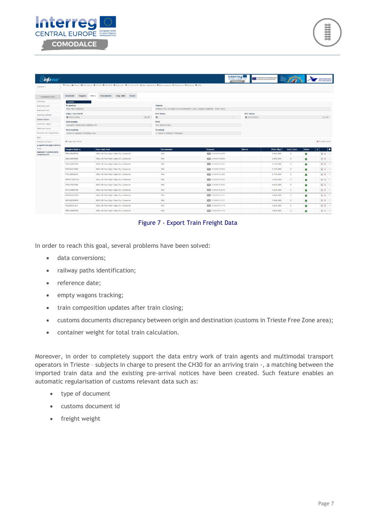



| s' <b>info</b> mar                           |                                 |                    |                                      |       |                                                                                                                                                     |                                                                       | <b>Interreg</b><br><b>CENTRAL EUROPE HEND</b><br>COMODALCE | Confinanced by the European Union | Adriatic<br>Multiport<br>Gateway |              | Autorià di Solema Portuale<br>del Mare Adriatico Orientale<br>Porti di Viente e Monfalcone |
|----------------------------------------------|---------------------------------|--------------------|--------------------------------------|-------|-----------------------------------------------------------------------------------------------------------------------------------------------------|-----------------------------------------------------------------------|------------------------------------------------------------|-----------------------------------|----------------------------------|--------------|--------------------------------------------------------------------------------------------|
| Sezioni -                                    |                                 |                    |                                      |       | <sup>Pt</sup> Salva ■ Chiudi 총 Pre Carico 총 Ch-30 총 Ch-30 E 총 Dist.carri 총 Ch-30 no PF ▲ Gen.statistiche 총 Dist.manovra © Conferma © Riattiva 총 XML |                                                                       |                                                            |                                   |                                  |              |                                                                                            |
| <b>Gestione treni</b>                        | Generale<br>Vagoni              | Merci<br>Documenti | Imp. dati<br>Excel                   |       |                                                                                                                                                     |                                                                       |                                                            |                                   |                                  |              |                                                                                            |
| Riepilogo                                    | <b>Testata</b>                  |                    |                                      |       |                                                                                                                                                     |                                                                       |                                                            |                                   |                                  |              |                                                                                            |
| Riepilogo stati                              | N. pratica                      |                    |                                      |       | Traccia                                                                                                                                             |                                                                       |                                                            |                                   |                                  |              |                                                                                            |
| Gestione treni                               | <b>BUD.TRS 21NS304</b>          |                    |                                      |       |                                                                                                                                                     | 550041173   IN ARRIVO DA BUDAPEST   RAIL CARGO CARRIER - ITALY S.R.L. |                                                            |                                   |                                  |              |                                                                                            |
| Gestione shuttle                             | Data / Ora TSCM<br>■ 08/11/2021 |                    |                                      | 23:08 | <b>ATT Varco</b><br>量                                                                                                                               |                                                                       |                                                            | <b>ETT Varco</b><br>■ 10/11/2021  |                                  |              | 11:08                                                                                      |
| Elenco treni                                 | <b>Dichiarante</b>              |                    |                                      |       | <b>MTO</b>                                                                                                                                          |                                                                       |                                                            |                                   |                                  |              |                                                                                            |
| Gestione vagoni                              | MAHART CONTAINER CENTER KFT     |                    |                                      |       | T.O. DELTA S.P.A.                                                                                                                                   |                                                                       |                                                            |                                   |                                  |              |                                                                                            |
| Gestione tracce                              | <b>Terminalista</b>             |                    |                                      |       | <b>Terminal</b>                                                                                                                                     |                                                                       |                                                            |                                   |                                  |              |                                                                                            |
| Ricerche arrivi/partenze                     | TRIESTE MARINE TERMINAL SPA     |                    |                                      |       | 1 TRIESTE MARINE TERMINAL                                                                                                                           |                                                                       |                                                            |                                   |                                  |              |                                                                                            |
| Esci                                         |                                 |                    |                                      |       |                                                                                                                                                     |                                                                       |                                                            |                                   |                                  |              |                                                                                            |
| Utente connesso<br>g.spellenberg@containe    | O Aggiungi merce                |                    |                                      |       |                                                                                                                                                     |                                                                       |                                                            |                                   |                                  |              | <b>O</b> Svuota merci                                                                      |
| Ditta                                        | Targhe/Sigla n.                 | Tipo cont./rot.    |                                      |       | <b>Documento</b>                                                                                                                                    | Vagone                                                                | Merce                                                      | Peso (Kg)                         | Q.ta Corr.                       | <b>Stato</b> | $\mathbf{D}$<br>п                                                                          |
| <b>MAHART CONTAINER</b><br><b>CENTER KFT</b> | <b>TEMU8949508</b>              |                    | 45G1 40 Foot High Cube Dry Container |       | NN/                                                                                                                                                 | 335645762659                                                          |                                                            | 3,910,000                         | $\circ$                          | ш            | G x D                                                                                      |
|                                              | SEGU5845859                     |                    | 45G1 40 Foot High Cube Drv Container |       | NN/                                                                                                                                                 | 335645762659                                                          |                                                            | 3.830,000                         | $\circ$                          | ш            | G X D                                                                                      |
|                                              | TXGU5607994                     |                    | 45G1 40 Foot High Cube Dry Container |       | NN/                                                                                                                                                 | 2 335645762352                                                        |                                                            | 3,700,000                         | $\circ$                          | п            | G X D                                                                                      |
|                                              | <b>TCKU6107450</b>              |                    | 45G1 40 Foot High Cube Dry Container |       | NN/                                                                                                                                                 | 2 335645762352                                                        |                                                            | 3.700,000                         | $\circ$                          | п            | G x D                                                                                      |
|                                              | <b>TXGUS842191</b>              |                    | 45G1 40 Foot High Cube Dry Container |       | NN/                                                                                                                                                 | 335645761289                                                          |                                                            | 3.700,000                         | $\circ$                          | п            | G X D                                                                                      |
|                                              | MSMU7252910                     |                    | 45G1 40 Foot High Cube Dry Container |       | NN/                                                                                                                                                 | 335645761289                                                          |                                                            | 3.820,000                         | $\circ$                          | ш            | G x D                                                                                      |
|                                              | TCNU7837843                     |                    | 45G1 40 Foot High Cube Dry Container |       | NN/                                                                                                                                                 | 335645763046                                                          |                                                            | 4.000,000                         | $\circ$                          | ш            | G x D                                                                                      |
|                                              | DRYU9385499                     |                    | 45G1 40 Foot High Cube Dry Container |       | NN/                                                                                                                                                 | 335645763046                                                          |                                                            | 4.000,000                         | $\circ$                          | ш            | G x D                                                                                      |
|                                              | BMOU4427081                     |                    | 45G1 40 Foot High Cube Dry Container |       | NN/                                                                                                                                                 | 5 335645761727                                                        |                                                            | 3.860,000                         | $\bullet$                        | ш            | G x O                                                                                      |
|                                              | MSCU8090476                     |                    | 45G1 40 Foot High Cube Dry Container |       | NN/                                                                                                                                                 | 5 335645761727                                                        |                                                            | 3.940,000                         | $\circ$                          | п            | G X D                                                                                      |
|                                              | <b>TCLUS324103</b>              |                    | 45G1 40 Foot High Cube Dry Container |       | NN/                                                                                                                                                 | $\bullet$ 335645761776                                                |                                                            | 3.840,000                         | $\circ$                          | ш            | G X D                                                                                      |
|                                              | <b>TEMU8290386</b>              |                    | 45G1 40 Foot High Cube Dry Container |       | NN/                                                                                                                                                 | 335645761776                                                          |                                                            | 3.820,000                         | $\circ$                          | ш            | G X D                                                                                      |

Figure 7 - Export Train Freight Data

In order to reach this goal, several problems have been solved:

- data conversions;
- railway paths identification;
- reference date;
- empty wagons tracking;
- train composition updates after train closing;
- customs documents discrepancy between origin and destination (customs in Trieste Free Zone area);
- container weight for total train calculation.

Moreover, in order to completely support the data entry work of train agents and multimodal transport operators in Trieste – subjects in charge to present the CH30 for an arriving train -, a matching between the imported train data and the existing pre-arrival notices have been created. Such feature enables an automatic regularisation of customs relevant data such as:

- type of document
- customs document id
- freight weight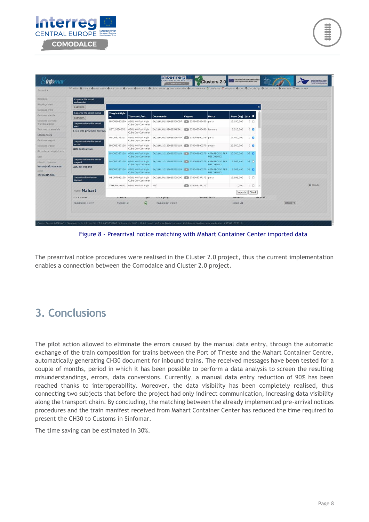

| Sezioni -                            | K Salva m Chiudi A Riep. Treno A Pre Carlco A Ch-30 A Dist.carri A Ch-30 no PF & Gen.statistiche A Dist.manovra B Conferma Ø Sopprimi A XML O XML da ftp O XML to RCA A XML MIR O XML to RIR |                    |                                                     |                                                                                                  |                 |                    |                |                |                          |                |        |
|--------------------------------------|----------------------------------------------------------------------------------------------------------------------------------------------------------------------------------------------|--------------------|-----------------------------------------------------|--------------------------------------------------------------------------------------------------|-----------------|--------------------|----------------|----------------|--------------------------|----------------|--------|
| Riepilogo                            | <b>Esporta file excel</b>                                                                                                                                                                    |                    |                                                     |                                                                                                  |                 |                    |                |                |                          |                |        |
| Riepilogo stati                      | railconsist<br><b>ESPORTA</b>                                                                                                                                                                |                    |                                                     |                                                                                                  |                 |                    |                |                | ×                        |                |        |
| Gestione treni                       |                                                                                                                                                                                              |                    |                                                     |                                                                                                  |                 |                    |                |                |                          |                |        |
| Gestione shuttle                     | <b>Esporta file excel merci</b><br><b>ESPORTA</b>                                                                                                                                            | Targhe/Sigla<br>n. | Tipo cont./rot.                                     | <b>Documento</b>                                                                                 | Vagone          | <b>Merce</b>       | Peso (Kg) Q.ta |                |                          |                |        |
| Gestione Corridoi<br>Transfrontalien | <b>Importazione file excel</b><br>GPF                                                                                                                                                        |                    | BMOU6880250 45G1 40 Foot High<br>Cube Dry Container | EX/21HU91101028508CD7 61 335645763459 parts                                                      |                 |                    | 13.190,000     | $0$ $\Box$     |                          |                |        |
| Taric merce sensibile.               | Lista UTI preavvisi ferrovi.                                                                                                                                                                 |                    | UETUS658676 45G1 40 Foot High<br>Cube Dry Container | EX/21HU8110202854E541 335645763459 femcare                                                       |                 |                    | 5.513,000      | 0 <sub>2</sub> |                          |                |        |
| Elenco treni<br>Gestione vagoni      |                                                                                                                                                                                              |                    | Cube Dry Container                                  | MSCU9239327 45G1 40 Foot High EX/21HU82106028526F70 27 378049800279 parts                        |                 |                    | 17,400,000     | 0 <sub>z</sub> |                          |                |        |
| Gestione tracce                      | <b>Importazione file excel</b><br>arrivi<br>XLS degli arrivi:                                                                                                                                |                    | Cube Dry Container                                  | BMOU5387126 45G1 40 Foot High EX/21HU10128028565118 2 378049800279 goods                         |                 |                    | 23.500,000     | 0 <sub>2</sub> |                          |                |        |
| Ricerche arrivi/partenze<br>Esci     |                                                                                                                                                                                              |                    | Cube Dry Container                                  | BMOU5387126 45G1 40 Foot High EX/21HU10128028565118 378049800279 APPARECCHI PER 23.500,000 35 2  |                 | USI CHIMICI        |                |                |                          |                |        |
| Uterite connesso                     | <b>Importazione file excel</b><br>vagoni                                                                                                                                                     |                    | Cube Dry Container                                  | BMOU5387126 45G1 40 Foot High EX/21HU10128028565118 7 378049800279 APPARECCHI PER 6.985,490 35 D |                 | <b>USI CHIMICI</b> |                |                |                          |                |        |
| karen@info-era.com<br><b>Ditta</b>   | XLS dei vagoni:                                                                                                                                                                              |                    | Cube Dry Container                                  | BMOU5387126 45G1 40 Foot High EX/21HU10128028565118 2 378049800279 APPARECCHI PER 6.985,490 35 2 |                 | USI CHIMICI        |                |                |                          |                |        |
| <b>INFO.ERA SRL</b>                  | <b>Importazione treno</b><br>Mahart                                                                                                                                                          |                    | Cube Dry Container                                  | MEDU7045150 45G1 40 Foot High EX/21HU91101028509D90 378049757172 parts                           |                 |                    | 12.691.000     | $0$ $\Box$     |                          |                |        |
|                                      |                                                                                                                                                                                              |                    | TRHU6474650 45G1 40 Foot High NN/                   |                                                                                                  | 83 378049757172 |                    | 0,000          |                | $0$ $\Box$ $\rightarrow$ |                | Chiudi |
|                                      | <b>Treni Mahart</b>                                                                                                                                                                          |                    |                                                     |                                                                                                  |                 |                    | Importa Chiudi |                |                          |                |        |
|                                      | Data varco                                                                                                                                                                                   | <b>FEACURE</b>     | TIpo                                                | vata prog.                                                                                       |                 | UILIIIIO Stato     | тегиппан       |                | renainf.                 |                |        |
|                                      | 22/04/2021 21:37                                                                                                                                                                             | 550041171          | Q                                                   | 22/04/2021 21:22                                                                                 |                 |                    | MOLO VII       |                |                          | <b>IMPORTA</b> |        |

Figure 8 - Prearrival notice matching with Mahart Container Center imported data

The prearrival notice procedures were realised in the Cluster 2.0 project, thus the current implementation enables a connection between the Comodalce and Cluster 2.0 project.

## <span id="page-8-0"></span>**3. Conclusions**

The pilot action allowed to eliminate the errors caused by the manual data entry, through the automatic exchange of the train composition for trains between the Port of Trieste and the Mahart Container Centre, automatically generating CH30 document for inbound trains. The received messages have been tested for a couple of months, period in which it has been possible to perform a data analysis to screen the resulting misunderstandings, errors, data conversions. Currently, a manual data entry reduction of 90% has been reached thanks to interoperability. Moreover, the data visibility has been completely realised, thus connecting two subjects that before the project had only indirect communication, increasing data visibility along the transport chain. By concluding, the matching between the already implemented pre-arrival notices procedures and the train manifest received from Mahart Container Center has reduced the time required to present the CH30 to Customs in Sinfomar.

The time saving can be estimated in 30%.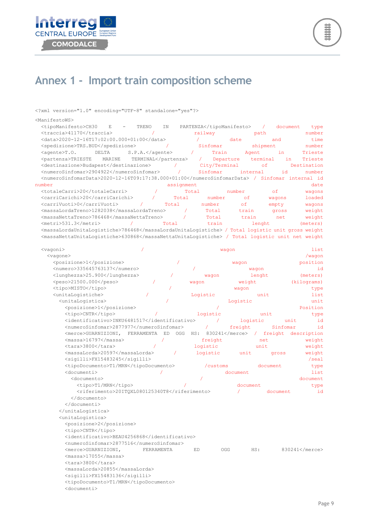



## <span id="page-9-0"></span>**Annex 1 - Import train composition scheme**

<?xml version="1.0" encoding="UTF-8" standalone="yes"?>

 $\langle N \rangle$ 

| <manifestows></manifestows>                                                                      |                      |            |               |             |                  |
|--------------------------------------------------------------------------------------------------|----------------------|------------|---------------|-------------|------------------|
| <tipomanifesto>CH30<br/>Е</tipomanifesto>                                                        | TRENO<br>ΙN          | PARTENZA   |               | $\sqrt{2}$  | document<br>type |
| <traccia>41170</traccia>                                                                         |                      | railway    |               | path        | number           |
| <data>2020-12-16T17:02:00.000+01:00</data>                                                       |                      | $\prime$   | date          | and         | time             |
| <spedizione>TRS.BUD</spedizione>                                                                 | $\prime$             | Sinfomar   |               | shipment    | number           |
| $\langle$ agente $\rangle$ T.O.<br>DELTA                                                         | $S.P.A. < /a$ gente> | $\prime$   | Train         | Agent<br>in | Trieste          |
| <partenza>TRIESTE<br/>MARINE</partenza>                                                          | TERMINAL             | $\sqrt{2}$ | Departure     | terminal    | Trieste<br>in.   |
| <destinazione>Budapest</destinazione>                                                            | $\prime$             |            | City/Terminal | οf          | Destination      |
| <numerosinfomar>2904922</numerosinfomar>                                                         | T                    | Sinfomar   | internal      |             | id<br>number     |
| <numerosinfomardata>2020-12-16T09:17:38.000+01:00</numerosinfomardata> / Sinfomar internal id    |                      |            |               |             |                  |
| number                                                                                           | assignment           |            |               |             | date             |
| <totalecarri>20</totalecarri>                                                                    |                      | Total      | number        | оf          | wagons           |
| <carricarichi>20</carricarichi>                                                                  | Total                | number     | оf            | waqons      | loaded           |
| <carrivuoti>0</carrivuoti>                                                                       | Total                | number     | of            | empty       | waqons           |
| <massalordatreno>1282038</massalordatreno>                                                       |                      | Total      | train         | gross       | weight           |
| <massanettatreno>786468</massanettatreno>                                                        |                      | Total      | train         | net         | weight           |
| <metri>531.3</metri>                                                                             | Total                | train      |               | lenght      | (meters)         |
| <massalordaunitalogistiche>786468</massalordaunitalogistiche> / Total logistic unit gross weight |                      |            |               |             |                  |
| <massanettaunitalogistiche>630868</massanettaunitalogistiche> / Total logistic unit net weight   |                      |            |               |             |                  |
| $<$ vaqoni>                                                                                      |                      |            | waqon         |             | list             |
| <vagone></vagone>                                                                                |                      |            |               |             | /wagon           |
| <posizione>1</posizione>                                                                         |                      |            | wagon         |             | position         |
| <numero>335645763137</numero>                                                                    |                      |            |               | wagon       | id               |
| <lunghezza>25.900</lunghezza>                                                                    |                      | wagon      |               | lenght      | (meters)         |
| <peso>21500.000</peso>                                                                           |                      | waqon      | weight        |             | (kilograms)      |
| <tipo>MISTO</tipo>                                                                               |                      |            | wagon         |             | type             |
| <unitalogistiche></unitalogistiche>                                                              |                      | Logistic   |               | unit        | list             |
| <unitalogistica></unitalogistica>                                                                |                      |            | Logistic      |             | unit             |
| <posizione>1</posizione>                                                                         |                      |            |               |             | Position         |
| <tipo>CNTR</tipo>                                                                                |                      | logistic   |               | unit        | type             |
| <identificativo>INKU6481517</identificativo>                                                     |                      | $\prime$   | logistic      |             | id<br>unit       |
| <numerosinfomar>2877977</numerosinfomar>                                                         |                      | T          | freight       |             | Sinfomar<br>id   |
| <merce>GUARNIZIONI,</merce>                                                                      | FERRAMENTA ED OGG    | HS:        | 830241 /      | freight     | description      |
| $<$ massa>16797                                                                                  |                      | freight    |               | net         | weight           |
| <tara>3800</tara>                                                                                | 7                    | logistic   |               | unit        | weight           |
| <massalorda>20597</massalorda>                                                                   |                      | logistic   | unit          | gross       | weight           |
| <sigilli>FX15483245</sigilli>                                                                    |                      |            |               |             | $/$ seal         |
| <tipodocumento>T1/MRN</tipodocumento>                                                            |                      | /customs   |               | document    | type             |
| <documenti></documenti>                                                                          |                      |            | document      |             | list             |
| <documento></documento>                                                                          |                      |            |               |             | document         |
| <tipo>T1/MRN</tipo>                                                                              |                      |            | document      |             | type             |
| <riferimento>20ITQXL080125340T8</riferimento>                                                    |                      |            |               | document    | id               |
|                                                                                                  |                      |            |               |             |                  |
|                                                                                                  |                      |            |               |             |                  |
|                                                                                                  |                      |            |               |             |                  |
| <unitalogistica></unitalogistica>                                                                |                      |            |               |             |                  |
| <posizione>2</posizione>                                                                         |                      |            |               |             |                  |
| <tipo>CNTR</tipo>                                                                                |                      |            |               |             |                  |
| <identificativo>BEAU4256868</identificativo>                                                     |                      |            |               |             |                  |
| <numerosinfomar>2877516</numerosinfomar>                                                         |                      |            |               |             |                  |
| <merce>GUARNIZIONI,</merce>                                                                      | FERRAMENTA           | ED         | OGG           | HS:         | 830241           |
| <massa>17055</massa>                                                                             |                      |            |               |             |                  |
| <tara>3800</tara>                                                                                |                      |            |               |             |                  |
| <massalorda>20855</massalorda>                                                                   |                      |            |               |             |                  |
| <sigilli>FX15483136</sigilli>                                                                    |                      |            |               |             |                  |
| <tipodocumento>T1/MRN</tipodocumento>                                                            |                      |            |               |             |                  |
|                                                                                                  |                      |            |               |             |                  |

<tipoDocumer<br/><br/>documenti<br/>>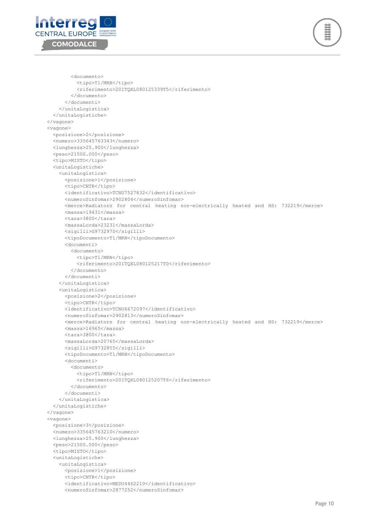



 <documento> <tipo>T1/MRN</tipo> <riferimento>20ITQXL080125339T5</riferimento> </documento> </documenti> </unitaLogistica> </unitaLogistiche> </vagone> <vagone> <posizione>2</posizione> <numero>335645763343</numero> <lunghezza>25.900</lunghezza> <peso>21500.000</peso> <tipo>MISTO</tipo> <unitaLogistiche> <unitaLogistica> <posizione>1</posizione> <tipo>CNTR</tipo> <identificativo>TCNU7527832</identificativo> <numeroSinfomar>2902804</numeroSinfomar> <merce>Radiators for central heating non-electrically heated and HS: 732219</merce> <massa>19431</massa> <tara>3800</tara> <massaLorda>23231</massaLorda> <sigilli>G9732970</sigilli> <tipoDocumento>T1/MRN</tipoDocumento> <documenti> <documento> <tipo>T1/MRN</tipo> <riferimento>20ITQXL080125217T0</riferimento> </documento> </documenti> </unitaLogistica> <unitaLogistica> <posizione>2</posizione> <tipo>CNTR</tipo> <identificativo>TCNU6672097</identificativo> <numeroSinfomar>2902813</numeroSinfomar> <merce>Radiators for central heating non-electrically heated and HS: 732219</merce> <massa>16965</massa> <tara>3800</tara> <massaLorda>20765</massaLorda> <sigilli>G9732855</sigilli> <tipoDocumento>T1/MRN</tipoDocumento> <documenti> <documento> <tipo>T1/MRN</tipo> <riferimento>20ITQXL080125207T6</riferimento> </documento> </documenti> </unitaLogistica> </unitaLogistiche> </vagone> <vagone> <posizione>3</posizione> <numero>335645763210</numero> <lunghezza>25.900</lunghezza> <peso>21500.000</peso> <tipo>MISTO</tipo> <unitaLogistiche> <unitaLogistica> <posizione>1</posizione> <tipo>CNTR</tipo> <identificativo>MEDU4462210</identificativo> <numeroSinfomar>2877252</numeroSinfomar>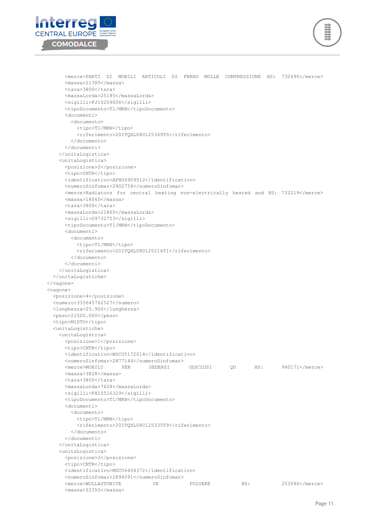



 <merce>PARTI DI MOBILI ARTICOLI DI FERRO MOLLE COMPRESSIONE HS: 732690</merce> <massa>21385</massa> <tara>3800</tara> <massaLorda>25185</massaLorda> <sigilli>FJ10209006</sigilli> <tipoDocumento>T1/MRN</tipoDocumento> <documenti> <documento> <tipo>T1/MRN</tipo> <riferimento>20ITQXL080125349T0</riferimento> </documento> </documenti> </unitaLogistica> <unitaLogistica> <posizione>2</posizione> <tipo>CNTR</tipo> <identificativo>APHU6909512</identificativo> <numeroSinfomar>2902758</numeroSinfomar> <merce>Radiators for central heating non-electrically heated and HS: 732219</merce> <massa>18060</massa> <tara>3800</tara> <massaLorda>21860</massaLorda> <sigilli>G9732753</sigilli> <tipoDocumento>T1/MRN</tipoDocumento> <documenti> <documento> <tipo>T1/MRN</tipo> <riferimento>20ITQXL080125216T1</riferimento> </documento> </documenti> </unitaLogistica> </unitaLogistiche> </vagone> <vagone> <posizione>4</posizione> <numero>335645762527</numero> <lunghezza>25.900</lunghezza> <peso>21500.000</peso> <tipo>MISTO</tipo> <unitaLogistiche> <unitaLogistica> <posizione>1</posizione> <tipo>CNTR</tipo> <identificativo>MSCU5172014</identificativo> <numeroSinfomar>2877144</numeroSinfomar> <merce>MOBILI PER SEDERSI (ESCLUSI QU HS: 940171</merce> <massa>3828</massa> <tara>3800</tara> <massaLorda>7628</massaLorda> <sigilli>FX15516329</sigilli> <tipoDocumento>T1/MRN</tipoDocumento> <documenti> <documento> <tipo>T1/MRN</tipo> <riferimento>20ITQXL080125335T9</riferimento> </documento> </documenti> </unitaLogistica> <unitaLogistica> <posizione>2</posizione> <tipo>CNTR</tipo> <identificativo>MSCU6404372</identificativo> <numeroSinfomar>2894091</numeroSinfomar> <merce>WOLLASTONITE IN POLVERE HS: 253090</merce> <massa>22350</massa>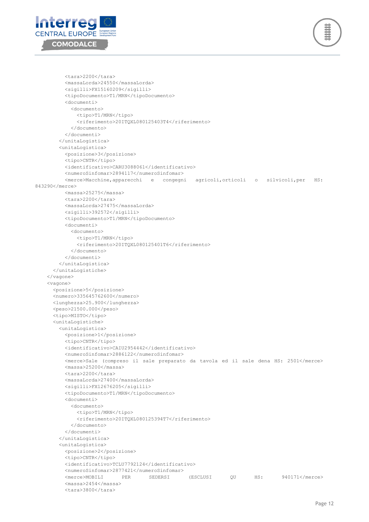



```
 <tara>2200</tara>
           <massaLorda>24550</massaLorda>
           <sigilli>FX15160209</sigilli>
           <tipoDocumento>T1/MRN</tipoDocumento>
           <documenti>
             <documento>
               <tipo>T1/MRN</tipo>
               <riferimento>20ITQXL080125403T4</riferimento>
             </documento>
           </documenti>
         </unitaLogistica>
         <unitaLogistica>
           <posizione>3</posizione>
           <tipo>CNTR</tipo>
           <identificativo>CARU3088061</identificativo>
           <numeroSinfomar>2894117</numeroSinfomar>
           <merce>Macchine,apparecchi e congegni agricoli,orticoli o silvicoli,per HS: 
843290</merce>
           <massa>25275</massa>
           <tara>2200</tara>
           <massaLorda>27475</massaLorda>
           <sigilli>392572</sigilli>
           <tipoDocumento>T1/MRN</tipoDocumento>
           <documenti>
             <documento>
               <tipo>T1/MRN</tipo>
               <riferimento>20ITQXL080125401T6</riferimento>
             </documento>
           </documenti>
         </unitaLogistica>
       </unitaLogistiche>
     </vagone>
     <vagone>
       <posizione>5</posizione>
       <numero>335645762600</numero>
      <lunghezza>25.900</lunghezza>
       <peso>21500.000</peso>
      <tipo>MISTO</tipo>
      <unitaLogistiche>
         <unitaLogistica>
           <posizione>1</posizione>
           <tipo>CNTR</tipo>
           <identificativo>CAIU2954442</identificativo>
           <numeroSinfomar>2886122</numeroSinfomar>
           <merce>Sale (compreso il sale preparato da tavola ed il sale dena HS: 2501</merce>
           <massa>25200</massa>
           <tara>2200</tara>
           <massaLorda>27400</massaLorda>
           <sigilli>FX12676205</sigilli>
           <tipoDocumento>T1/MRN</tipoDocumento>
           <documenti>
             <documento>
               <tipo>T1/MRN</tipo>
               <riferimento>20ITQXL080125394T7</riferimento>
             </documento>
           </documenti>
         </unitaLogistica>
         <unitaLogistica>
           <posizione>2</posizione>
           <tipo>CNTR</tipo>
           <identificativo>TCLU7792124</identificativo>
           <numeroSinfomar>2877421</numeroSinfomar>
           <merce>MOBILI PER SEDERSI (ESCLUSI QU HS: 940171</merce>
           <massa>2454</massa>
           <tara>3800</tara>
```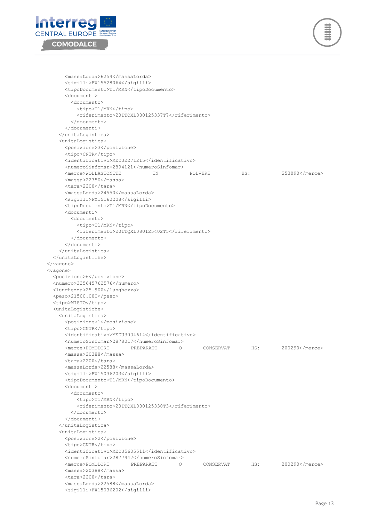



 <massaLorda>6254</massaLorda> <sigilli>FX15528064</sigilli> <tipoDocumento>T1/MRN</tipoDocumento> <documenti> <documento> <tipo>T1/MRN</tipo> <riferimento>20ITQXL080125337T7</riferimento> </documento> </documenti> </unitaLogistica> <unitaLogistica> <posizione>3</posizione> <tipo>CNTR</tipo> <identificativo>MEDU2271215</identificativo> <numeroSinfomar>2894121</numeroSinfomar> <merce>WOLLASTONITE IN POLVERE HS: 253090</merce> <massa>22350</massa> <tara>2200</tara> <massaLorda>24550</massaLorda> <sigilli>FX15160208</sigilli> <tipoDocumento>T1/MRN</tipoDocumento> <documenti> <documento> <tipo>T1/MRN</tipo> <riferimento>20ITQXL080125402T5</riferimento> </documento> </documenti> </unitaLogistica> </unitaLogistiche> </vagone> <vagone> <posizione>6</posizione> <numero>335645762576</numero> <lunghezza>25.900</lunghezza> <peso>21500.000</peso> <tipo>MISTO</tipo> <unitaLogistiche> <unitaLogistica> <posizione>1</posizione> <tipo>CNTR</tipo> <identificativo>MEDU3004614</identificativo> <numeroSinfomar>2878017</numeroSinfomar> <merce>POMODORI PREPARATI O CONSERVAT HS: 200290</merce> <massa>20388</massa> <tara>2200</tara> <massaLorda>22588</massaLorda> <sigilli>FX15036203</sigilli> <tipoDocumento>T1/MRN</tipoDocumento> <documenti> <documento> <tipo>T1/MRN</tipo> <riferimento>20ITQXL080125330T3</riferimento> </documento> </documenti> </unitaLogistica> <unitaLogistica> <posizione>2</posizione> <tipo>CNTR</tipo> <identificativo>MEDU5605511</identificativo> <numeroSinfomar>2877447</numeroSinfomar> <merce>POMODORI PREPARATI O CONSERVAT HS: 200290</merce> <massa>20388</massa> <tara>2200</tara> <massaLorda>22588</massaLorda> <sigilli>FX15036202</sigilli>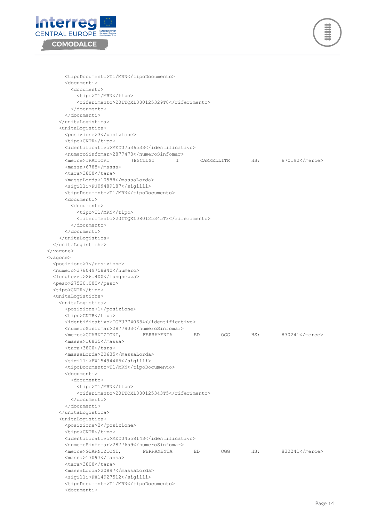



```
 <tipoDocumento>T1/MRN</tipoDocumento>
       <documenti>
         <documento>
          <tipo>T1/MRN</tipo>
           <riferimento>20ITQXL080125329T0</riferimento>
         </documento>
       </documenti>
     </unitaLogistica>
     <unitaLogistica>
      <posizione>3</posizione>
      <tipo>CNTR</tipo>
      <identificativo>MEDU7536533</identificativo>
      <numeroSinfomar>2877478</numeroSinfomar>
       <merce>TRATTORI (ESCLUSI I CARRELLITR HS: 870192</merce>
       <massa>6788</massa>
       <tara>3800</tara>
      <massaLorda>10588</massaLorda>
      <sigilli>FJ09489187</sigilli>
      <tipoDocumento>T1/MRN</tipoDocumento>
      <documenti>
         <documento>
           <tipo>T1/MRN</tipo>
           <riferimento>20ITQXL080125345T3</riferimento>
         </documento>
       </documenti>
     </unitaLogistica>
   </unitaLogistiche>
 </vagone>
 <vagone>
   <posizione>7</posizione>
   <numero>378049758840</numero>
  <lunghezza>26.400</lunghezza>
   <peso>27520.000</peso>
   <tipo>CNTR</tipo>
   <unitaLogistiche>
     <unitaLogistica>
      <posizione>1</posizione>
      <tipo>CNTR</tipo>
      <identificativo>TGBU7740684</identificativo>
      <numeroSinfomar>2877903</numeroSinfomar>
      <merce>GUARNIZIONI, FERRAMENTA ED OGG HS: 830241</merce>
      <massa>16835</massa>
      <tara>3800</tara>
       <massaLorda>20635</massaLorda>
      <sigilli>FX15494465</sigilli>
      <tipoDocumento>T1/MRN</tipoDocumento>
      <documenti>
         <documento>
           <tipo>T1/MRN</tipo>
           <riferimento>20ITQXL080125343T5</riferimento>
         </documento>
       </documenti>
     </unitaLogistica>
     <unitaLogistica>
      <posizione>2</posizione>
       <tipo>CNTR</tipo>
       <identificativo>MEDU4558143</identificativo>
       <numeroSinfomar>2877659</numeroSinfomar>
      <merce>GUARNIZIONI, FERRAMENTA ED OGG HS: 830241</merce>
      <massa>17097</massa>
      <tara>3800</tara>
      <massaLorda>20897</massaLorda>
      <sigilli>FX14927512</sigilli>
       <tipoDocumento>T1/MRN</tipoDocumento>
       <documenti>
```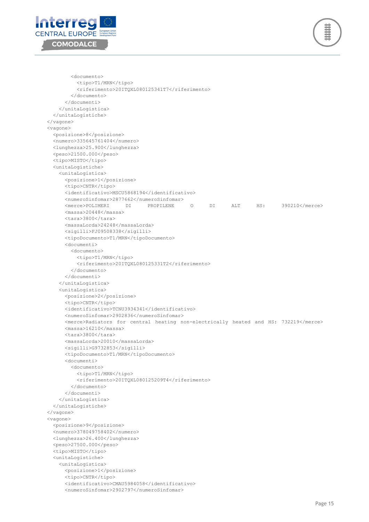



 <documento> <tipo>T1/MRN</tipo> <riferimento>20ITQXL080125341T7</riferimento> </documento> </documenti> </unitaLogistica> </unitaLogistiche> </vagone> <vagone> <posizione>8</posizione> <numero>335645761404</numero> <lunghezza>25.900</lunghezza> <peso>21500.000</peso> <tipo>MISTO</tipo> <unitaLogistiche> <unitaLogistica> <posizione>1</posizione> <tipo>CNTR</tipo> <identificativo>MSCU5868194</identificativo> <numeroSinfomar>2877662</numeroSinfomar> <merce>POLIMERI DI PROPILENE O DI ALT HS: 390210</merce> <massa>20448</massa> <tara>3800</tara> <massaLorda>24248</massaLorda> <sigilli>FJ09508338</sigilli> <tipoDocumento>T1/MRN</tipoDocumento> <documenti> <documento> <tipo>T1/MRN</tipo> <riferimento>20ITQXL080125331T2</riferimento> </documento> </documenti> </unitaLogistica> <unitaLogistica> <posizione>2</posizione> <tipo>CNTR</tipo> <identificativo>TCNU3934341</identificativo> <numeroSinfomar>2902836</numeroSinfomar> <merce>Radiators for central heating non-electrically heated and HS: 732219</merce> <massa>16210</massa> <tara>3800</tara> <massaLorda>20010</massaLorda> <sigilli>G9732853</sigilli> <tipoDocumento>T1/MRN</tipoDocumento> <documenti> <documento> <tipo>T1/MRN</tipo> <riferimento>20ITQXL080125209T4</riferimento> </documento> </documenti> </unitaLogistica> </unitaLogistiche> </vagone> <vagone> <posizione>9</posizione> <numero>378049758402</numero> <lunghezza>26.400</lunghezza> <peso>27500.000</peso> <tipo>MISTO</tipo> <unitaLogistiche> <unitaLogistica> <posizione>1</posizione> <tipo>CNTR</tipo> <identificativo>CMAU5984058</identificativo> <numeroSinfomar>2902797</numeroSinfomar>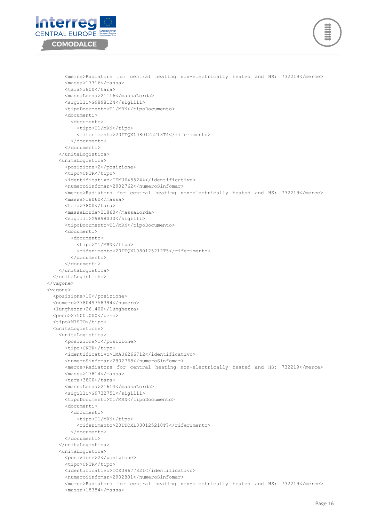



```
 <merce>Radiators for central heating non-electrically heated and HS: 732219</merce>
       <massa>17316</massa>
       <tara>3800</tara>
       <massaLorda>21116</massaLorda>
       <sigilli>G9898124</sigilli>
       <tipoDocumento>T1/MRN</tipoDocumento>
       <documenti>
         <documento>
           <tipo>T1/MRN</tipo>
           <riferimento>20ITQXL080125213T4</riferimento>
         </documento>
       </documenti>
     </unitaLogistica>
     <unitaLogistica>
       <posizione>2</posizione>
       <tipo>CNTR</tipo>
       <identificativo>TEMU6485244</identificativo>
       <numeroSinfomar>2902762</numeroSinfomar>
       <merce>Radiators for central heating non-electrically heated and HS: 732219</merce>
       <massa>18060</massa>
       <tara>3800</tara>
       <massaLorda>21860</massaLorda>
       <sigilli>G9898030</sigilli>
       <tipoDocumento>T1/MRN</tipoDocumento>
       <documenti>
         <documento>
           <tipo>T1/MRN</tipo>
           <riferimento>20ITQXL080125212T5</riferimento>
         </documento>
       </documenti>
     </unitaLogistica>
   </unitaLogistiche>
 </vagone>
 <vagone>
   <posizione>10</posizione>
   <numero>378049758394</numero>
  <lunghezza>26.400</lunghezza>
  <peso>27500.000</peso>
   <tipo>MISTO</tipo>
   <unitaLogistiche>
     <unitaLogistica>
       <posizione>1</posizione>
       <tipo>CNTR</tipo>
       <identificativo>CMAU6266712</identificativo>
       <numeroSinfomar>2902768</numeroSinfomar>
       <merce>Radiators for central heating non-electrically heated and HS: 732219</merce>
       <massa>17814</massa>
       <tara>3800</tara>
       <massaLorda>21614</massaLorda>
       <sigilli>G9732751</sigilli>
       <tipoDocumento>T1/MRN</tipoDocumento>
       <documenti>
         <documento>
           <tipo>T1/MRN</tipo>
           <riferimento>20ITQXL080125210T7</riferimento>
         </documento>
       </documenti>
     </unitaLogistica>
     <unitaLogistica>
       <posizione>2</posizione>
      <tipo>CNTR</tipo>
       <identificativo>TCKU9677821</identificativo>
       <numeroSinfomar>2902801</numeroSinfomar>
       <merce>Radiators for central heating non-electrically heated and HS: 732219</merce>
       <massa>18384</massa>
```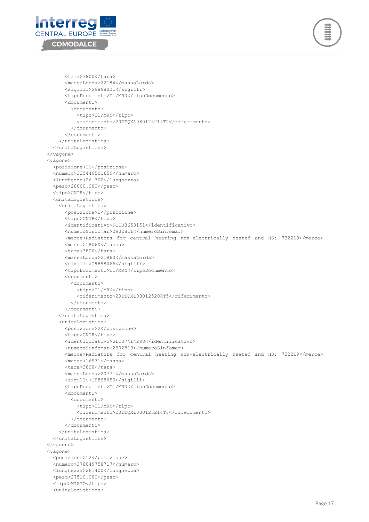



```
 <tara>3800</tara>
       <massaLorda>22184</massaLorda>
       <sigilli>G9898021</sigilli>
       <tipoDocumento>T1/MRN</tipoDocumento>
       <documenti>
         <documento>
           <tipo>T1/MRN</tipo>
           <riferimento>20ITQXL080125215T2</riferimento>
         </documento>
       </documenti>
     </unitaLogistica>
   </unitaLogistiche>
 </vagone>
 <vagone>
   <posizione>11</posizione>
   <numero>335449501659</numero>
   <lunghezza>26.700</lunghezza>
   <peso>28000.000</peso>
   <tipo>CNTR</tipo>
   <unitaLogistiche>
     <unitaLogistica>
       <posizione>1</posizione>
       <tipo>CNTR</tipo>
       <identificativo>FCIU8653151</identificativo>
       <numeroSinfomar>2902811</numeroSinfomar>
       <merce>Radiators for central heating non-electrically heated and HS: 732219</merce>
       <massa>18060</massa>
       <tara>3800</tara>
       <massaLorda>21860</massaLorda>
       <sigilli>G9898066</sigilli>
       <tipoDocumento>T1/MRN</tipoDocumento>
       <documenti>
         <documento>
           <tipo>T1/MRN</tipo>
           <riferimento>20ITQXL080125208T5</riferimento>
         </documento>
       </documenti>
     </unitaLogistica>
     <unitaLogistica>
       <posizione>2</posizione>
       <tipo>CNTR</tipo>
       <identificativo>GLDU7414298</identificativo>
       <numeroSinfomar>2902819</numeroSinfomar>
       <merce>Radiators for central heating non-electrically heated and HS: 732219</merce>
       <massa>16971</massa>
       <tara>3800</tara>
       <massaLorda>20771</massaLorda>
       <sigilli>G9898059</sigilli>
       <tipoDocumento>T1/MRN</tipoDocumento>
       <documenti>
         <documento>
           <tipo>T1/MRN</tipo>
           <riferimento>20ITQXL080125214T3</riferimento>
         </documento>
       </documenti>
     </unitaLogistica>
   </unitaLogistiche>
 </vagone>
 <vagone>
   <posizione>12</posizione>
   <numero>378049758717</numero>
  <lunghezza>26.400</lunghezza>
  <peso>27510.000</peso>
   <tipo>MISTO</tipo>
   <unitaLogistiche>
```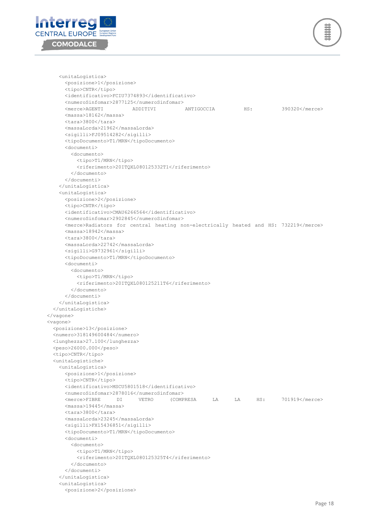

 <unitaLogistica> <posizione>1</posizione> <tipo>CNTR</tipo> <identificativo>FCIU7374893</identificativo> <numeroSinfomar>2877125</numeroSinfomar> <merce>AGENTI ADDITIVI ANTIGOCCIA HS: 390320</merce> <massa>18162</massa> <tara>3800</tara> <massaLorda>21962</massaLorda> <sigilli>FJ09514282</sigilli> <tipoDocumento>T1/MRN</tipoDocumento> <documenti> <documento> <tipo>T1/MRN</tipo> <riferimento>20ITQXL080125332T1</riferimento> </documento> </documenti> </unitaLogistica> <unitaLogistica> <posizione>2</posizione> <tipo>CNTR</tipo> <identificativo>CMAU6266564</identificativo> <numeroSinfomar>2902845</numeroSinfomar> <merce>Radiators for central heating non-electrically heated and HS: 732219</merce> <massa>18942</massa> <tara>3800</tara> <massaLorda>22742</massaLorda> <sigilli>G9732961</sigilli> <tipoDocumento>T1/MRN</tipoDocumento> <documenti> <documento> <tipo>T1/MRN</tipo> <riferimento>20ITQXL080125211T6</riferimento> </documento> </documenti> </unitaLogistica> </unitaLogistiche> </vagone> <vagone> <posizione>13</posizione> <numero>318149600484</numero> <lunghezza>27.100</lunghezza> <peso>26000.000</peso> <tipo>CNTR</tipo> <unitaLogistiche> <unitaLogistica> <posizione>1</posizione> <tipo>CNTR</tipo> <identificativo>MSCU5801518</identificativo> <numeroSinfomar>2878016</numeroSinfomar> <merce>FIBRE DI VETRO (COMPRESA LA LA HS: 701919</merce> <massa>19445</massa> <tara>3800</tara> <massaLorda>23245</massaLorda> <sigilli>FX15436851</sigilli> <tipoDocumento>T1/MRN</tipoDocumento> <documenti> <documento> <tipo>T1/MRN</tipo> <riferimento>20ITQXL080125325T4</riferimento> </documento> </documenti> </unitaLogistica> <unitaLogistica> <posizione>2</posizione>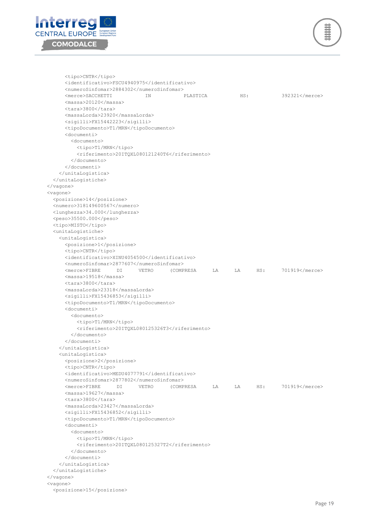

```
 <tipo>CNTR</tipo>
       <identificativo>FSCU4940975</identificativo>
      <numeroSinfomar>2884302</numeroSinfomar>
      <merce>SACCHETTI IN PLASTICA HS: 392321</merce>
      <massa>20120</massa>
     \langletara>3800\langle/tara>
       <massaLorda>23920</massaLorda>
       <sigilli>FX15442223</sigilli>
       <tipoDocumento>T1/MRN</tipoDocumento>
      <documenti>
         <documento>
          <tipo>T1/MRN</tipo>
          <riferimento>20ITQXL080121240T6</riferimento>
         </documento>
       </documenti>
     </unitaLogistica>
   </unitaLogistiche>
 </vagone>
 <vagone>
   <posizione>14</posizione>
   <numero>318149600567</numero>
  <lunghezza>34.000</lunghezza>
   <peso>35500.000</peso>
   <tipo>MISTO</tipo>
   <unitaLogistiche>
     <unitaLogistica>
      <posizione>1</posizione>
      <tipo>CNTR</tipo>
       <identificativo>XINU4054500</identificativo>
       <numeroSinfomar>2877607</numeroSinfomar>
      <merce>FIBRE DI VETRO (COMPRESA LA LA HS: 701919</merce>
      <massa>19518</massa>
      <tara>3800</tara>
      <massaLorda>23318</massaLorda>
      <sigilli>FX15436853</sigilli>
       <tipoDocumento>T1/MRN</tipoDocumento>
      <documenti>
         <documento>
           <tipo>T1/MRN</tipo>
          <riferimento>20ITQXL080125326T3</riferimento>
         </documento>
       </documenti>
     </unitaLogistica>
     <unitaLogistica>
      <posizione>2</posizione>
       <tipo>CNTR</tipo>
      <identificativo>MEDU4077791</identificativo>
      <numeroSinfomar>2877802</numeroSinfomar>
       <merce>FIBRE DI VETRO (COMPRESA LA LA HS: 701919</merce>
       <massa>19627</massa>
       <tara>3800</tara>
      <massaLorda>23427</massaLorda>
      <sigilli>FX15436852</sigilli>
      <tipoDocumento>T1/MRN</tipoDocumento>
      <documenti>
         <documento>
          <tipo>T1/MRN</tipo>
           <riferimento>20ITQXL080125327T2</riferimento>
         </documento>
      </documenti>
     </unitaLogistica>
   </unitaLogistiche>
 </vagone>
 <vagone>
   <posizione>15</posizione>
```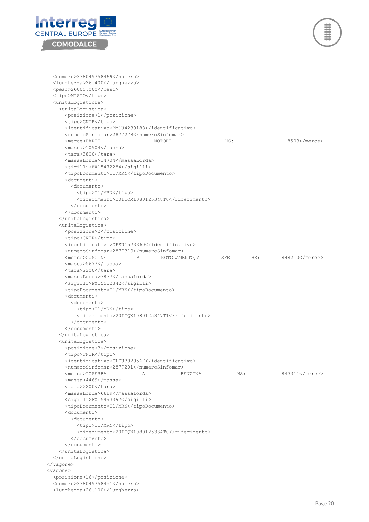



 <numero>378049758469</numero> <lunghezza>26.400</lunghezza> <peso>26000.000</peso> <tipo>MISTO</tipo> <unitaLogistiche> <unitaLogistica> <posizione>1</posizione> <tipo>CNTR</tipo> <identificativo>BMOU4289188</identificativo> <numeroSinfomar>2877278</numeroSinfomar> <merce>PARTI MOTORI HS: 8503</merce> <massa>10904</massa> <tara>3800</tara> <massaLorda>14704</massaLorda> <sigilli>FX15472284</sigilli> <tipoDocumento>T1/MRN</tipoDocumento> <documenti> <documento> <tipo>T1/MRN</tipo> <riferimento>20ITQXL080125348T0</riferimento> </documento> </documenti> </unitaLogistica> <unitaLogistica> <posizione>2</posizione> <tipo>CNTR</tipo> <identificativo>DFSU1523360</identificativo> <numeroSinfomar>2877319</numeroSinfomar> <merce>CUSCINETTI A ROTOLAMENTO,A SFE HS: 848210</merce> <massa>5677</massa> <tara>2200</tara> <massaLorda>7877</massaLorda> <sigilli>FX15502342</sigilli> <tipoDocumento>T1/MRN</tipoDocumento> <documenti> <documento> <tipo>T1/MRN</tipo> <riferimento>20ITQXL080125347T1</riferimento> </documento> </documenti> </unitaLogistica> <unitaLogistica> <posizione>3</posizione> <tipo>CNTR</tipo> <identificativo>GLDU3929567</identificativo> <numeroSinfomar>2877201</numeroSinfomar> <merce>TOSERBA A BENZINA HS: 843311</merce> <massa>4469</massa> <tara>2200</tara> <massaLorda>6669</massaLorda> <sigilli>FX15493397</sigilli> <tipoDocumento>T1/MRN</tipoDocumento> <documenti> <documento> <tipo>T1/MRN</tipo> <riferimento>20ITQXL080125334T0</riferimento> </documento> </documenti> </unitaLogistica> </unitaLogistiche> </vagone> <vagone> <posizione>16</posizione> <numero>378049758451</numero> <lunghezza>26.100</lunghezza>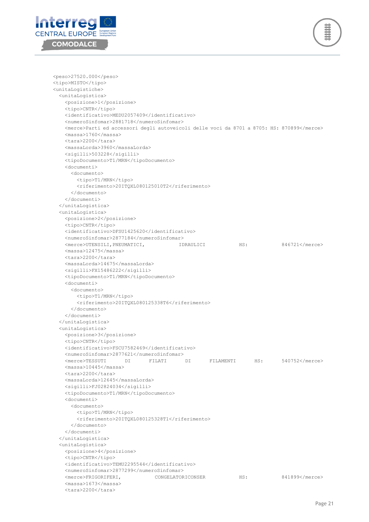



 <peso>27520.000</peso> <tipo>MISTO</tipo> <unitaLogistiche> <unitaLogistica> <posizione>1</posizione> <tipo>CNTR</tipo> <identificativo>MEDU2057409</identificativo> <numeroSinfomar>2881718</numeroSinfomar> <merce>Parti ed accessori degli autoveicoli delle voci da 8701 a 8705: HS: 870899</merce> <massa>1760</massa> <tara>2200</tara> <massaLorda>3960</massaLorda> <sigilli>503228</sigilli> <tipoDocumento>T1/MRN</tipoDocumento> <documenti> <documento> <tipo>T1/MRN</tipo> <riferimento>20ITQXL080125010T2</riferimento> </documento> </documenti> </unitaLogistica> <unitaLogistica> <posizione>2</posizione> <tipo>CNTR</tipo> <identificativo>DFSU1425620</identificativo> <numeroSinfomar>2877184</numeroSinfomar> <merce>UTENSILI,PNEUMATICI, IDRAULICI HS: 846721</merce> <massa>12475</massa> <tara>2200</tara> <massaLorda>14675</massaLorda> <sigilli>FX15486222</sigilli> <tipoDocumento>T1/MRN</tipoDocumento> <documenti> <documento> <tipo>T1/MRN</tipo> <riferimento>20ITQXL080125338T6</riferimento> </documento> </documenti> </unitaLogistica> <unitaLogistica> <posizione>3</posizione> <tipo>CNTR</tipo> <identificativo>FSCU7582469</identificativo> <numeroSinfomar>2877621</numeroSinfomar> <merce>TESSUTI DI FILATI DI FILAMENTI HS: 540752</merce> <massa>10445</massa> <tara>2200</tara> <massaLorda>12645</massaLorda> <sigilli>FJ02824034</sigilli> <tipoDocumento>T1/MRN</tipoDocumento> <documenti> <documento> <tipo>T1/MRN</tipo> <riferimento>20ITQXL080125328T1</riferimento> </documento> </documenti> </unitaLogistica> <unitaLogistica> <posizione>4</posizione> <tipo>CNTR</tipo> <identificativo>TEMU2295544</identificativo> <numeroSinfomar>2877299</numeroSinfomar> <merce>FRIGORIFERI, CONGELATORICONSER HS: 841899</merce> <massa>1673</massa> <tara>2200</tara>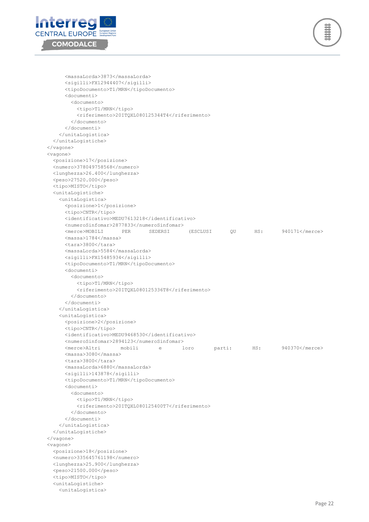



 <massaLorda>3873</massaLorda> <sigilli>FX12944407</sigilli> <tipoDocumento>T1/MRN</tipoDocumento> <documenti> <documento> <tipo>T1/MRN</tipo> <riferimento>20ITQXL080125344T4</riferimento> </documento> </documenti> </unitaLogistica> </unitaLogistiche> </vagone> <vagone> <posizione>17</posizione> <numero>378049758568</numero> <lunghezza>26.400</lunghezza> <peso>27520.000</peso> <tipo>MISTO</tipo> <unitaLogistiche> <unitaLogistica> <posizione>1</posizione> <tipo>CNTR</tipo> <identificativo>MEDU7613218</identificativo> <numeroSinfomar>2877833</numeroSinfomar> <merce>MOBILI PER SEDERSI (ESCLUSI QU HS: 940171</merce> <massa>1784</massa> <tara>3800</tara> <massaLorda>5584</massaLorda> <sigilli>FX15485934</sigilli> <tipoDocumento>T1/MRN</tipoDocumento> <documenti> <documento> <tipo>T1/MRN</tipo> <riferimento>20ITQXL080125336T8</riferimento> </documento> </documenti> </unitaLogistica> <unitaLogistica> <posizione>2</posizione> <tipo>CNTR</tipo> <identificativo>MEDU9468530</identificativo> <numeroSinfomar>2894123</numeroSinfomar> <merce>Altri mobili e loro parti: HS: 940370</merce> <massa>3080</massa>  $<$ tara $>$ 3800 $<$ /tara $>$  <massaLorda>6880</massaLorda> <sigilli>143878</sigilli> <tipoDocumento>T1/MRN</tipoDocumento> <documenti> <documento> <tipo>T1/MRN</tipo> <riferimento>20ITQXL080125400T7</riferimento> </documento> </documenti> </unitaLogistica> </unitaLogistiche> </vagone> <vagone> <posizione>18</posizione> <numero>335645761198</numero> <lunghezza>25.900</lunghezza> <peso>21500.000</peso> <tipo>MISTO</tipo> <unitaLogistiche> <unitaLogistica>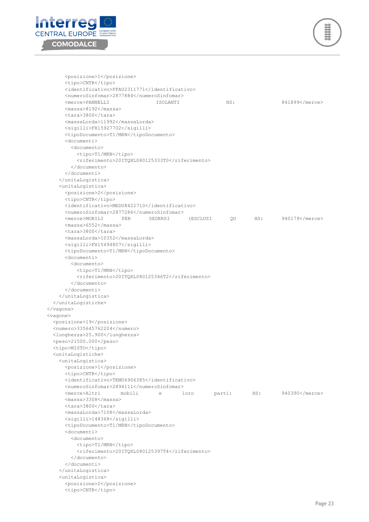



 <posizione>1</posizione> <tipo>CNTR</tipo> <identificativo>FFAU2311771</identificativo> <numeroSinfomar>2877884</numeroSinfomar> <merce>PANNELLI ISOLANTI HS: 841899</merce> <massa>8192</massa> <tara>3800</tara> <massaLorda>11992</massaLorda> <sigilli>FX15927702</sigilli> <tipoDocumento>T1/MRN</tipoDocumento> <documenti> <documento> <tipo>T1/MRN</tipo> <riferimento>20ITQXL080125333T0</riferimento> </documento> </documenti> </unitaLogistica> <unitaLogistica> <posizione>2</posizione> <tipo>CNTR</tipo> <identificativo>MEDU8422710</identificativo> <numeroSinfomar>2877286</numeroSinfomar> <merce>MOBILI PER SEDERSI (ESCLUSI QU HS: 940179</merce> <massa>6552</massa> <tara>3800</tara> <massaLorda>10352</massaLorda> <sigilli>FX15494807</sigilli> <tipoDocumento>T1/MRN</tipoDocumento> <documenti> <documento> <tipo>T1/MRN</tipo> <riferimento>20ITQXL080125346T2</riferimento> </documento> </documenti> </unitaLogistica> </unitaLogistiche> </vagone> <vagone> <posizione>19</posizione> <numero>335645762204</numero> <lunghezza>25.900</lunghezza> <peso>21500.000</peso> <tipo>MISTO</tipo> <unitaLogistiche> <unitaLogistica> <posizione>1</posizione> <tipo>CNTR</tipo> <identificativo>TEMU6906385</identificativo> <numeroSinfomar>2894111</numeroSinfomar> <merce>Altri mobili e loro parti: HS: 940390</merce> <massa>3308</massa> <tara>3800</tara> <massaLorda>7108</massaLorda> <sigilli>148368</sigilli> <tipoDocumento>T1/MRN</tipoDocumento> <documenti> <documento> <tipo>T1/MRN</tipo> <riferimento>20ITQXL080125397T4</riferimento> </documento> </documenti> </unitaLogistica> <unitaLogistica> <posizione>2</posizione> <tipo>CNTR</tipo>